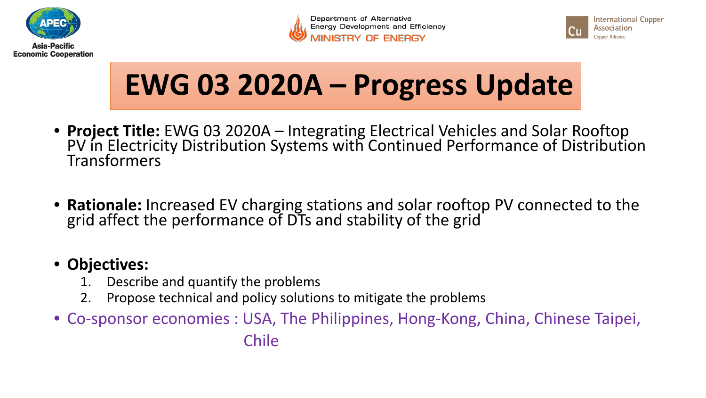







## **EWG 03 2020A – Progress Update**

- **Project Title:** EWG 03 2020A Integrating Electrical Vehicles and Solar Rooftop PV in Electricity Distribution Systems with Continued Performance of Distribution Transformers
- **Rationale:** Increased EV charging stations and solar rooftop PV connected to the grid affect the performance of DTs and stability of the grid

## • **Objectives:**

- 1. Describe and quantify the problems
- 2. Propose technical and policy solutions to mitigate the problems
- Co-sponsor economies : USA, The Philippines, Hong-Kong, China, Chinese Taipei,

Chile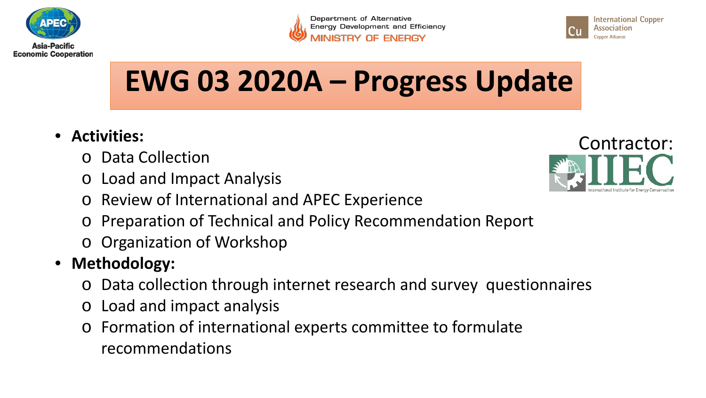

Department of Alternative **Energy Development and Efficiency** 



**EWG 03 2020A – Progress Update**

- **Activities:**
	- o Data Collection
	- o Load and Impact Analysis
	- o Review of International and APEC Experience
	- o Preparation of Technical and Policy Recommendation Report
	- o Organization of Workshop
- **Methodology:**
	- o Data collection through internet research and survey questionnaires
	- o Load and impact analysis
	- o Formation of international experts committee to formulate recommendations

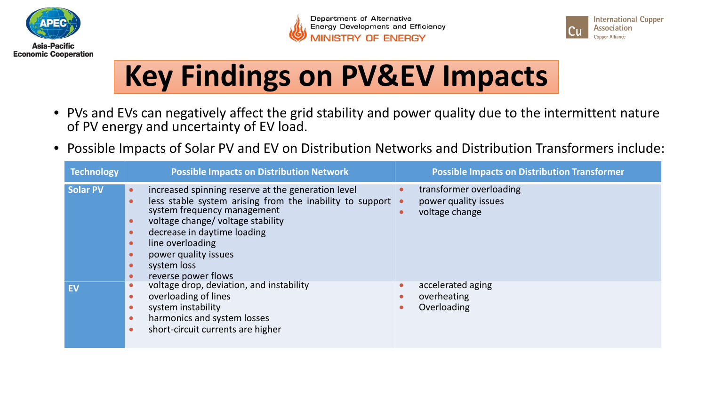





## **Key Findings on PV&EV Impacts**

- PVs and EVs can negatively affect the grid stability and power quality due to the intermittent nature of PV energy and uncertainty of EV load.
- Possible Impacts of Solar PV and EV on Distribution Networks and Distribution Transformers include:

| <b>Technology</b> | <b>Possible Impacts on Distribution Network</b>                                                                                                                                                                                                                                                                                                     | <b>Possible Impacts on Distribution Transformer</b>               |
|-------------------|-----------------------------------------------------------------------------------------------------------------------------------------------------------------------------------------------------------------------------------------------------------------------------------------------------------------------------------------------------|-------------------------------------------------------------------|
| <b>Solar PV</b>   | increased spinning reserve at the generation level<br>less stable system arising from the inability to support $\bullet$<br>$\bullet$<br>system frequency management<br>voltage change/voltage stability<br>$\bullet$<br>decrease in daytime loading<br>line overloading<br>$\bullet$<br>power quality issues<br>system loss<br>reverse power flows | transformer overloading<br>power quality issues<br>voltage change |
| <b>EV</b>         | voltage drop, deviation, and instability<br>overloading of lines<br>system instability<br>harmonics and system losses<br>short-circuit currents are higher                                                                                                                                                                                          | accelerated aging<br>overheating<br>Overloading                   |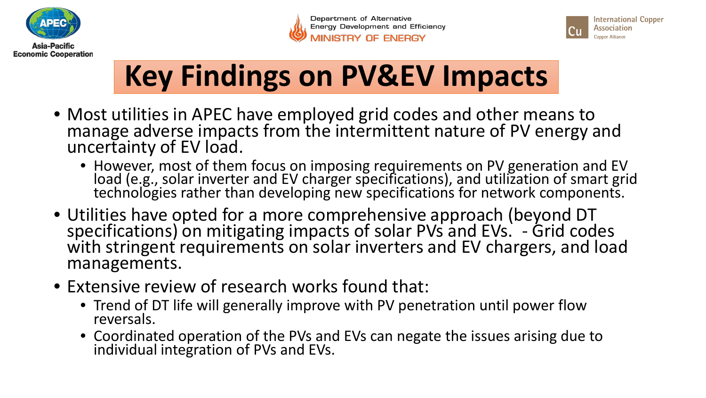





## **Key Findings on PV&EV Impacts**

- Most utilities in APEC have employed grid codes and other means to manage adverse impacts from the intermittent nature of PV energy and uncertainty of EV load.
	- However, most of them focus on imposing requirements on PV generation and EV load (e.g., solar inverter and EV charger specifications), and utilization of smart grid technologies rather than developing new specifications for network components.
- Utilities have opted for a more comprehensive approach (beyond DT specifications) on mitigating impacts of solar PVs and EVs. - Grid codes with stringent requirements on solar inverters and EV chargers, and load managements.
- Extensive review of research works found that:
	- Trend of DT life will generally improve with PV penetration until power flow reversals.
	- Coordinated operation of the PVs and EVs can negate the issues arising due to individual integration of PVs and EVs.